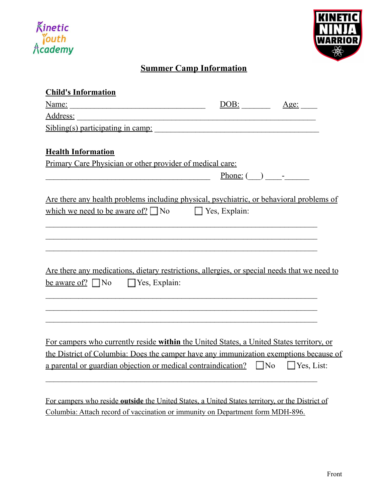



## **Summer Camp Information**

| <b>Child's Information</b>                                                                   |                      |                |
|----------------------------------------------------------------------------------------------|----------------------|----------------|
|                                                                                              | DOB:                 | Age:           |
| Address: <u>Address</u>                                                                      |                      |                |
| Sibling(s) participating in camp:                                                            |                      |                |
| <b>Health Information</b>                                                                    |                      |                |
| Primary Care Physician or other provider of medical care:                                    |                      |                |
| <u> 1989 - Johann Barnett, fransk politiker (d. 1989)</u>                                    |                      | $Phone: ( )$ - |
| Are there any health problems including physical, psychiatric, or behavioral problems of     |                      |                |
| which we need to be aware of? $\Box$ No                                                      | $\Box$ Yes, Explain: |                |
|                                                                                              |                      |                |
|                                                                                              |                      |                |
| Are there any medications, dietary restrictions, allergies, or special needs that we need to |                      |                |
| be aware of? $\Box$ No $\Box$ Yes, Explain:                                                  |                      |                |
|                                                                                              |                      |                |
|                                                                                              |                      |                |
|                                                                                              |                      |                |
| For campers who currently reside within the United States, a United States territory, or     |                      |                |
| the District of Columbia: Does the camper have any immunization exemptions because of        |                      |                |
| a parental or guardian objection or medical contraindication? $\Box$ No $\Box$ Yes, List:    |                      |                |
|                                                                                              |                      |                |
|                                                                                              |                      |                |

For campers who reside **outside** the United States, a United States territory, or the District of Columbia: Attach record of vaccination or immunity on Department form MDH-896.